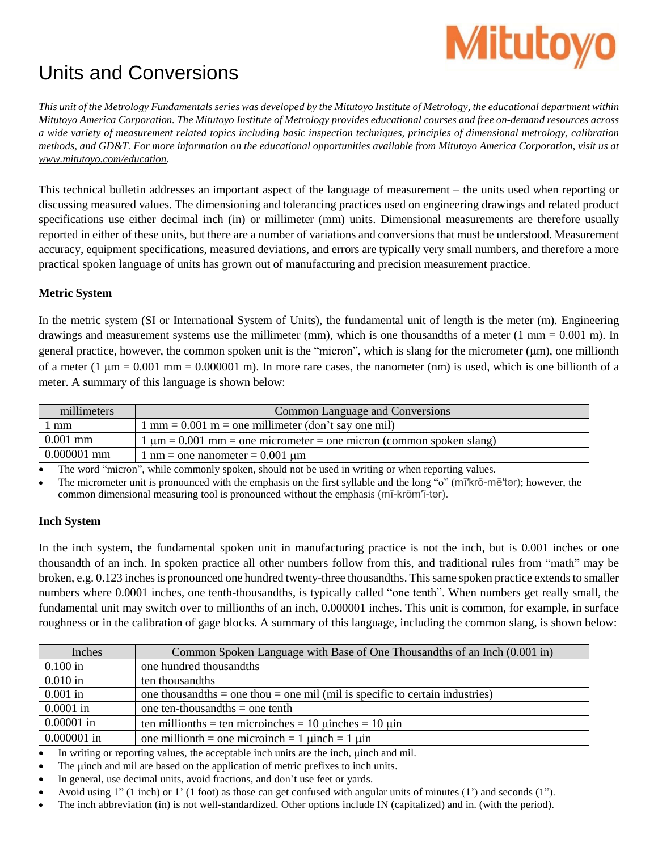# **Mitutoyo**

# Units and Conversions

This unit of the Metrology Fundamentals series was developed by the Mitutoyo Institute of Metrology, the educational department within Mitutoyo America Corporation. The Mitutoyo Institute of Metrology provides educational courses and free on-demand resources across a wide variety of measurement related topics including basic inspection techniques, principles of dimensional metrology, calibration methods, and GD&T. For more information on the educational opportunities available from Mitutoyo America Corporation, visit us at *[www.mitutoyo.com/education.](http://www.mitutoyo.com/education)*

This technical bulletin addresses an important aspect of the language of measurement – the units used when reporting or discussing measured values. The dimensioning and tolerancing practices used on engineering drawings and related product specifications use either decimal inch (in) or millimeter (mm) units. Dimensional measurements are therefore usually reported in either of these units, but there are a number of variations and conversions that must be understood. Measurement accuracy, equipment specifications, measured deviations, and errors are typically very small numbers, and therefore a more practical spoken language of units has grown out of manufacturing and precision measurement practice.

# **Metric System**

In the metric system (SI or International System of Units), the fundamental unit of length is the meter (m). Engineering drawings and measurement systems use the millimeter (mm), which is one thousandths of a meter (1 mm = 0.001 m). In general practice, however, the common spoken unit is the "micron", which is slang for the micrometer ( $\mu$ m), one millionth of a meter  $(1 \mu m = 0.001 \text{ mm} = 0.000001 \text{ m})$ . In more rare cases, the nanometer (nm) is used, which is one billionth of a meter. A summary of this language is shown below:

| millimeters   | Common Language and Conversions                                              |  |  |
|---------------|------------------------------------------------------------------------------|--|--|
| 1 mm          | $1 \text{ mm} = 0.001 \text{ m} = \text{one millimeter (don't say one mil)}$ |  |  |
| $0.001$ mm    | $1 \mu m = 0.001$ mm = one micrometer = one micron (common spoken slang)     |  |  |
| $0.000001$ mm | 1 nm = one nanometer = $0.001 \mu m$                                         |  |  |

The word "micron", while commonly spoken, should not be used in writing or when reporting values.

 The micrometer unit is pronounced with the emphasis on the first syllable and the long "o" (mī′krō-mē′tər); however, the common dimensional measuring tool is pronounced without the emphasis (mī-krŏm′ĭ-tər).

# **Inch System**

In the inch system, the fundamental spoken unit in manufacturing practice is not the inch, but is 0.001 inches or one thousandth of an inch. In spoken practice all other numbers follow from this, and traditional rules from "math" may be broken, e.g. 0.123 inches is pronounced one hundred twenty-three thousandths. This same spoken practice extends to smaller numbers where 0.0001 inches, one tenth-thousandths, is typically called "one tenth". When numbers get really small, the fundamental unit may switch over to millionths of an inch, 0.000001 inches. This unit is common, for example, in surface roughness or in the calibration of gage blocks. A summary of this language, including the common slang, is shown below:

| Inches        | Common Spoken Language with Base of One Thousandths of an Inch (0.001 in)          |
|---------------|------------------------------------------------------------------------------------|
| $0.100$ in    | one hundred thousandths                                                            |
| $0.010$ in    | ten thousand this                                                                  |
| $0.001$ in    | one thousand this $=$ one thou $=$ one mil (mil is specific to certain industries) |
| $0.0001$ in   | one ten-thousand the $=$ one tenth                                                 |
| $0.00001$ in  | ten millionths = ten microinches = 10 $\mu$ inches = 10 $\mu$ in                   |
| $0.000001$ in | one millionth = one microinch = 1 $\mu$ inch = 1 $\mu$ in                          |

In writing or reporting values, the acceptable inch units are the inch,  $\mu$  inch and mil.

- The unit and mil are based on the application of metric prefixes to inch units.
- In general, use decimal units, avoid fractions, and don't use feet or yards.
- Avoid using 1" (1 inch) or 1' (1 foot) as those can get confused with angular units of minutes (1') and seconds (1").
- The inch abbreviation (in) is not well-standardized. Other options include IN (capitalized) and in. (with the period).